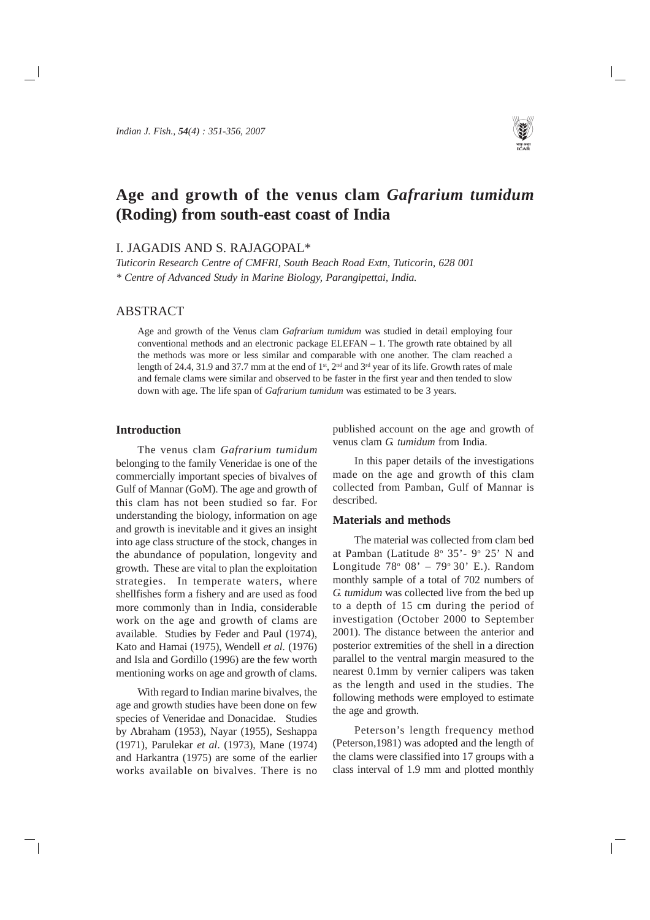# **Age and growth of the venus clam** *Gafrarium tumidum* **(Roding) from south-east coast of India**

# I. JAGADIS AND S. RAJAGOPAL\*

*Tuticorin Research Centre of CMFRI, South Beach Road Extn, Tuticorin, 628 001 \* Centre of Advanced Study in Marine Biology, Parangipettai, India.*

# ABSTRACT

Age and growth of the Venus clam *Gafrarium tumidum* was studied in detail employing four conventional methods and an electronic package ELEFAN – 1. The growth rate obtained by all the methods was more or less similar and comparable with one another. The clam reached a length of 24.4, 31.9 and 37.7 mm at the end of 1<sup>st</sup>, 2<sup>nd</sup> and 3<sup>rd</sup> year of its life. Growth rates of male and female clams were similar and observed to be faster in the first year and then tended to slow down with age. The life span of *Gafrarium tumidum* was estimated to be 3 years.

# **Introduction**

The venus clam *Gafrarium tumidum* belonging to the family Veneridae is one of the commercially important species of bivalves of Gulf of Mannar (GoM). The age and growth of this clam has not been studied so far. For understanding the biology, information on age and growth is inevitable and it gives an insight into age class structure of the stock, changes in the abundance of population, longevity and growth. These are vital to plan the exploitation strategies. In temperate waters, where shellfishes form a fishery and are used as food more commonly than in India, considerable work on the age and growth of clams are available. Studies by Feder and Paul (1974), Kato and Hamai (1975), Wendell *et al.* (1976) and Isla and Gordillo (1996) are the few worth mentioning works on age and growth of clams.

With regard to Indian marine bivalves, the age and growth studies have been done on few species of Veneridae and Donacidae. Studies by Abraham (1953), Nayar (1955), Seshappa (1971), Parulekar *et al*. (1973), Mane (1974) and Harkantra (1975) are some of the earlier works available on bivalves. There is no

published account on the age and growth of venus clam *G. tumidum* from India.

In this paper details of the investigations made on the age and growth of this clam collected from Pamban, Gulf of Mannar is described.

## **Materials and methods**

The material was collected from clam bed at Pamban (Latitude  $8^{\circ}$  35'-  $9^{\circ}$  25' N and Longitude 78° 08' – 79° 30' E.). Random monthly sample of a total of 702 numbers of *G. tumidum* was collected live from the bed up to a depth of 15 cm during the period of investigation (October 2000 to September 2001). The distance between the anterior and posterior extremities of the shell in a direction parallel to the ventral margin measured to the nearest 0.1mm by vernier calipers was taken as the length and used in the studies. The following methods were employed to estimate the age and growth.

Peterson's length frequency method (Peterson,1981) was adopted and the length of the clams were classified into 17 groups with a class interval of 1.9 mm and plotted monthly

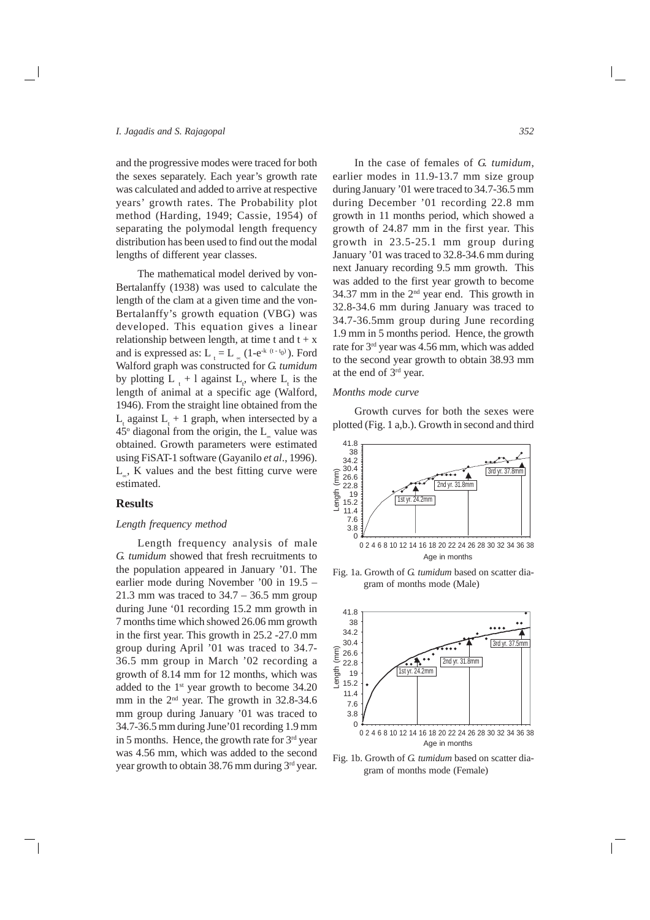and the progressive modes were traced for both the sexes separately. Each year's growth rate was calculated and added to arrive at respective years' growth rates. The Probability plot method (Harding, 1949; Cassie, 1954) of separating the polymodal length frequency distribution has been used to find out the modal lengths of different year classes.

The mathematical model derived by von-Bertalanffy (1938) was used to calculate the length of the clam at a given time and the von-Bertalanffy's growth equation (VBG) was developed. This equation gives a linear relationship between length, at time t and  $t + x$ and is expressed as:  $L_t = L_{\infty} (1-e^{-k(t-t_0)})$ . Ford Walford graph was constructed for *G. tumidum* by plotting  $L_{t}$  + l against  $L_{t}$ , where  $L_{t}$  is the length of animal at a specific age (Walford, 1946). From the straight line obtained from the  $L_{t}$  against  $L_{t}$  + 1 graph, when intersected by a  $45^{\circ}$  diagonal from the origin, the L<sub>∝</sub> value was obtained. Growth parameters were estimated using FiSAT-1 software (Gayanilo *et al*., 1996). L∝, K values and the best fitting curve were estimated.

## **Results**

## *Length frequency method*

Length frequency analysis of male *G. tumidum* showed that fresh recruitments to the population appeared in January '01. The earlier mode during November '00 in 19.5 – 21.3 mm was traced to  $34.7 - 36.5$  mm group during June '01 recording 15.2 mm growth in 7 months time which showed 26.06 mm growth in the first year. This growth in 25.2 -27.0 mm group during April '01 was traced to 34.7- 36.5 mm group in March '02 recording a growth of 8.14 mm for 12 months, which was added to the  $1<sup>st</sup>$  year growth to become 34.20 mm in the  $2<sup>nd</sup>$  year. The growth in 32.8-34.6 mm group during January '01 was traced to 34.7-36.5 mm during June'01 recording 1.9 mm in 5 months. Hence, the growth rate for  $3<sup>rd</sup>$  year was 4.56 mm, which was added to the second year growth to obtain  $38.76$  mm during  $3<sup>rd</sup>$  year.

In the case of females of *G. tumidum*, earlier modes in 11.9-13.7 mm size group during January '01 were traced to 34.7-36.5 mm during December '01 recording 22.8 mm growth in 11 months period, which showed a growth of 24.87 mm in the first year. This growth in 23.5-25.1 mm group during January '01 was traced to 32.8-34.6 mm during next January recording 9.5 mm growth. This was added to the first year growth to become 34.37 mm in the  $2<sup>nd</sup>$  year end. This growth in 32.8-34.6 mm during January was traced to 34.7-36.5mm group during June recording 1.9 mm in 5 months period. Hence, the growth rate for 3rd year was 4.56 mm, which was added to the second year growth to obtain 38.93 mm at the end of 3rd year.

#### *Months mode curve*

Growth curves for both the sexes were plotted (Fig. 1 a,b.). Growth in second and third



Fig. 1a. Growth of *G. tumidum* based on scatter diagram of months mode (Male)



Fig. 1b. Growth of *G. tumidum* based on scatter diagram of months mode (Female)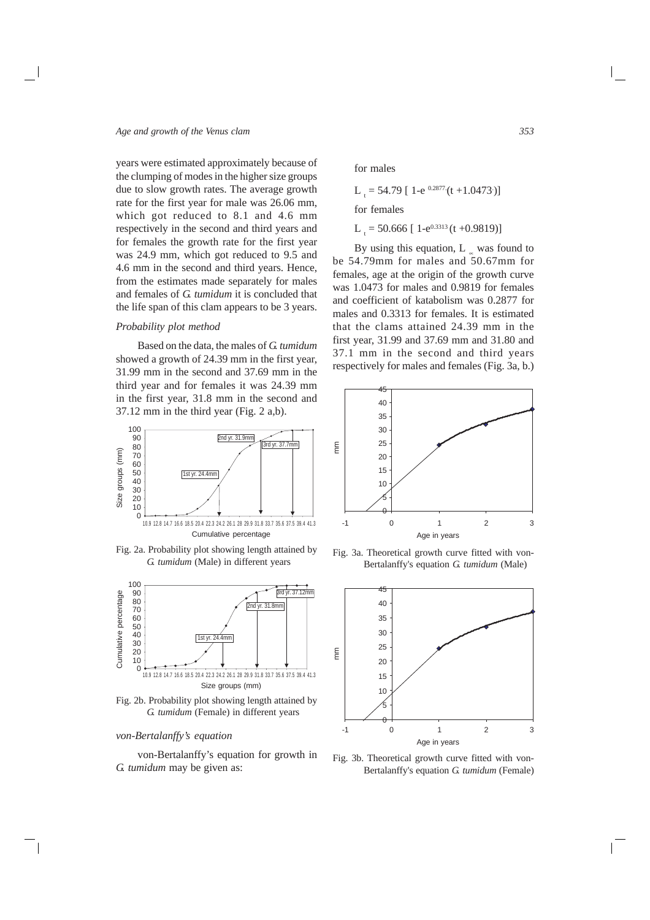years were estimated approximately because of the clumping of modes in the higher size groups due to slow growth rates. The average growth rate for the first year for male was 26.06 mm, which got reduced to 8.1 and 4.6 mm respectively in the second and third years and for females the growth rate for the first year was 24.9 mm, which got reduced to 9.5 and 4.6 mm in the second and third years. Hence, from the estimates made separately for males and females of *G. tumidum* it is concluded that the life span of this clam appears to be 3 years.

#### *Probability plot method*

Based on the data, the males of *G. tumidum* showed a growth of 24.39 mm in the first year, 31.99 mm in the second and 37.69 mm in the third year and for females it was 24.39 mm in the first year, 31.8 mm in the second and 37.12 mm in the third year (Fig. 2 a,b).



Fig. 2a. Probability plot showing length attained by *G. tumidum* (Male) in different years



Fig. 2b. Probability plot showing length attained by *G. tumidum* (Female) in different years

## *von-Bertalanffy's equation*

von-Bertalanffy's equation for growth in *G. tumidum* may be given as:

for males

 $L_t = 54.79$  [ 1-e <sup>0.2877</sup> (t +1.0473.)] for females

 $L_t = 50.666$  [ 1-e<sup>0.3313</sup> (t +0.9819)]

By using this equation, L ∝ was found to be 54.79mm for males and 50.67mm for females, age at the origin of the growth curve was 1.0473 for males and 0.9819 for females and coefficient of katabolism was 0.2877 for males and 0.3313 for females. It is estimated that the clams attained 24.39 mm in the first year, 31.99 and 37.69 mm and 31.80 and 37.1 mm in the second and third years respectively for males and females (Fig. 3a, b.)



Fig. 3a. Theoretical growth curve fitted with von-Bertalanffy's equation *G. tumidum* (Male)



Fig. 3b. Theoretical growth curve fitted with von-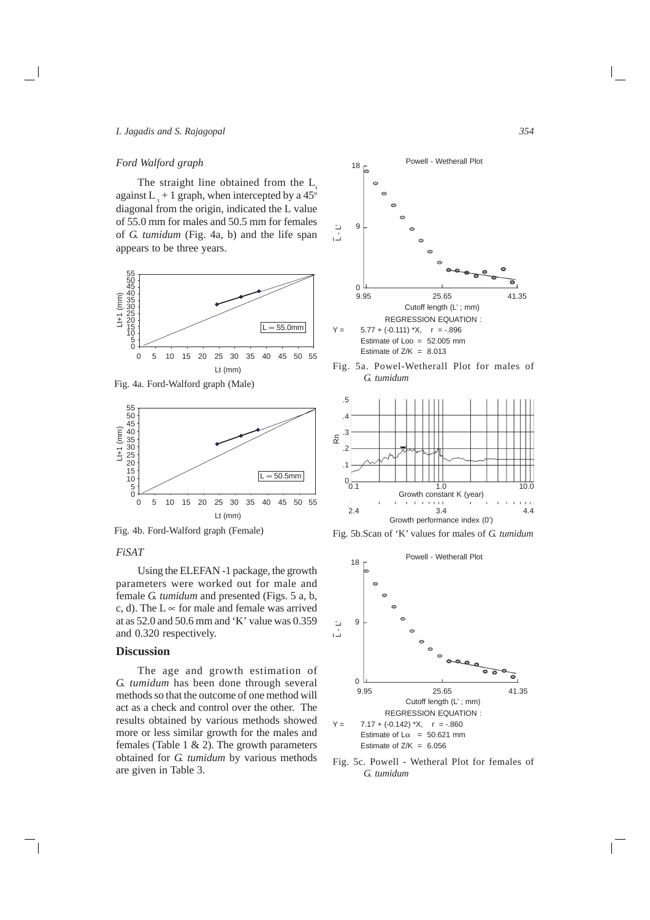#### *I. Jagadis and S. Rajagopal*

#### *Ford Walford graph*

The straight line obtained from the  $L<sub>i</sub>$ against L  $_{t}$  + 1 graph, when intercepted by a 45<sup>o</sup> diagonal from the origin, indicated the L value of 55.0 mm for males and 50.5 mm for females of *G. tumidum* (Fig. 4a, b) and the life span appears to be three years.



Fig. 4a. Ford-Walford graph (Male)



Fig. 4b. Ford-Walford graph (Female)

# *FiSAT*

Using the ELEFAN -1 package, the growth parameters were worked out for male and female *G. tumidum* and presented (Figs. 5 a, b, c, d). The  $L \propto$  for male and female was arrived at as 52.0 and 50.6 mm and 'K' value was 0.359 and 0.320 respectively.

# **Discussion**

The age and growth estimation of *G. tumidum* has been done through several methods so that the outcome of one method will act as a check and control over the other. The results obtained by various methods showed more or less similar growth for the males and females (Table 1 & 2). The growth parameters obtained for *G. tumidum* by various methods are given in Table 3.



Fig. 5a. Powel-Wetherall Plot for males of *G. tumidum*



Fig. 5b.Scan of 'K' values for males of *G. tumidum*



Fig. 5c. Powell - Wetheral Plot for females of *G. tumidum*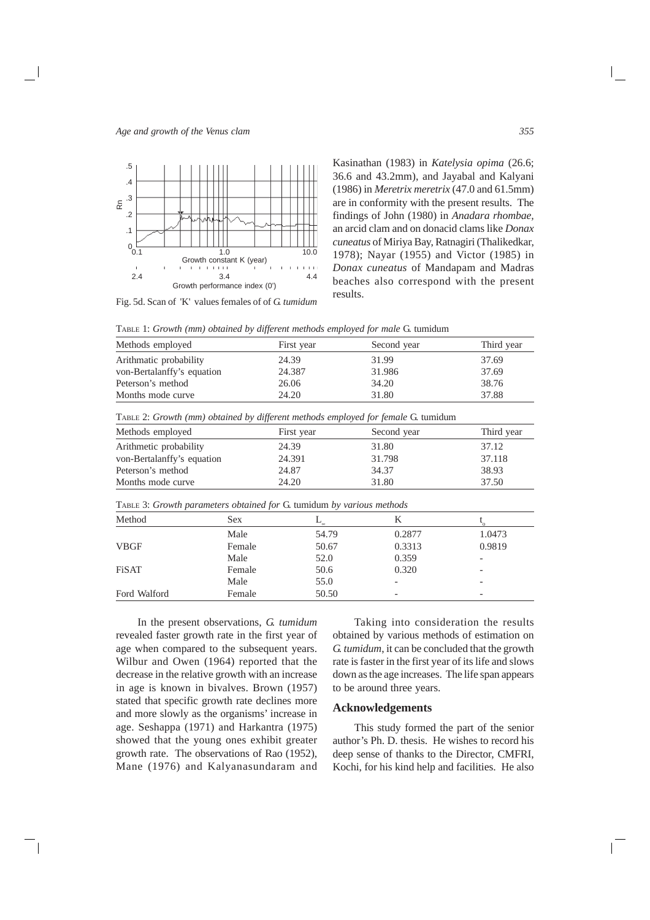

Fig. 5d. Scan of 'K' values females of of *G. tumidum*

Kasinathan (1983) in *Katelysia opima* (26.6; 36.6 and 43.2mm), and Jayabal and Kalyani (1986) in *Meretrix meretrix* (47.0 and 61.5mm) are in conformity with the present results. The findings of John (1980) in *Anadara rhombae,* an arcid clam and on donacid clams like *Donax cuneatus* of Miriya Bay, Ratnagiri (Thalikedkar, 1978); Nayar (1955) and Victor (1985) in *Donax cuneatus* of Mandapam and Madras beaches also correspond with the present results.

TABLE 1: *Growth (mm) obtained by different methods employed for male* G. tumidum

| Methods employed           | First year | Second year | Third year |
|----------------------------|------------|-------------|------------|
| Arithmatic probability     | 24.39      | 31.99       | 37.69      |
| von-Bertalanffy's equation | 24.387     | 31.986      | 37.69      |
| Peterson's method          | 26.06      | 34.20       | 38.76      |
| Months mode curve          | 24.20      | 31.80       | 37.88      |

TABLE 2: *Growth (mm) obtained by different methods employed for female* G. tumidum

| Methods employed           | First year | Second year | Third year |
|----------------------------|------------|-------------|------------|
| Arithmetic probability     | 24.39      | 31.80       | 37.12      |
| von-Bertalanffy's equation | 24.391     | 31.798      | 37.118     |
| Peterson's method          | 24.87      | 34.37       | 38.93      |
| Months mode curve          | 24.20      | 31.80       | 37.50      |

TABLE 3: *Growth parameters obtained for* G. tumidum *by various methods*

| Method       | <b>Sex</b> | $\propto$ | К                        |                          |  |
|--------------|------------|-----------|--------------------------|--------------------------|--|
|              | Male       | 54.79     | 0.2877                   | 1.0473                   |  |
| <b>VBGF</b>  | Female     | 50.67     | 0.3313                   | 0.9819                   |  |
|              | Male       | 52.0      | 0.359                    |                          |  |
| <b>FiSAT</b> | Female     | 50.6      | 0.320                    | $\overline{\phantom{a}}$ |  |
|              | Male       | 55.0      | $\overline{\phantom{0}}$ |                          |  |
| Ford Walford | Female     | 50.50     | $\overline{\phantom{a}}$ |                          |  |
|              |            |           |                          |                          |  |

In the present observations, *G. tumidum* revealed faster growth rate in the first year of age when compared to the subsequent years. Wilbur and Owen (1964) reported that the decrease in the relative growth with an increase in age is known in bivalves. Brown (1957) stated that specific growth rate declines more and more slowly as the organisms' increase in age. Seshappa (1971) and Harkantra (1975) showed that the young ones exhibit greater growth rate. The observations of Rao (1952), Mane (1976) and Kalyanasundaram and

Taking into consideration the results obtained by various methods of estimation on *G. tumidum*, it can be concluded that the growth rate is faster in the first year of its life and slows down as the age increases. The life span appears to be around three years.

## **Acknowledgements**

This study formed the part of the senior author's Ph. D. thesis. He wishes to record his deep sense of thanks to the Director, CMFRI, Kochi, for his kind help and facilities. He also